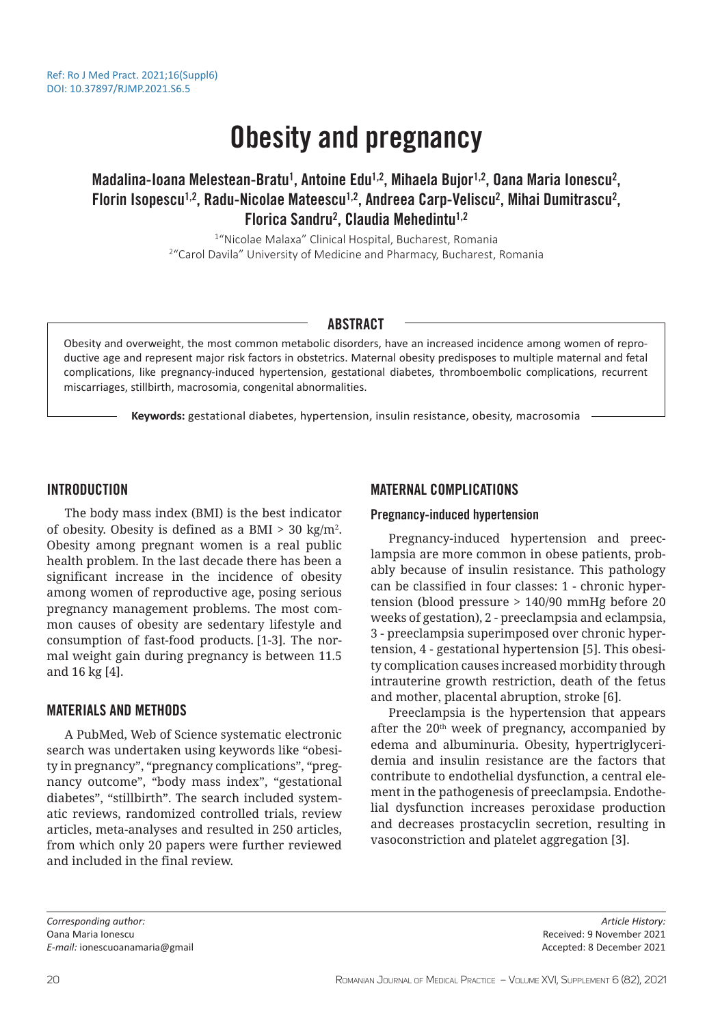# Obesity and pregnancy

# Madalina-Ioana Melestean-Bratu<sup>1</sup>, Antoine Edu<sup>1,2</sup>, Mihaela Bujor<sup>1,2</sup>, Oana Maria Ionescu<sup>2</sup>, Florin Isopescu<sup>1,2</sup>, Radu-Nicolae Mateescu<sup>1,2</sup>, Andreea Carp-Veliscu<sup>2</sup>, Mihai Dumitrascu<sup>2</sup>, Florica Sandru<sup>2</sup>, Claudia Mehedintu<sup>1,2</sup>

1 "Nicolae Malaxa" Clinical Hospital, Bucharest, Romania <sup>2</sup> "Carol Davila" University of Medicine and Pharmacy, Bucharest, Romania

#### ABSTRACT

Obesity and overweight, the most common metabolic disorders, have an increased incidence among women of reproductive age and represent major risk factors in obstetrics. Maternal obesity predisposes to multiple maternal and fetal complications, like pregnancy-induced hypertension, gestational diabetes, thromboembolic complications, recurrent miscarriages, stillbirth, macrosomia, congenital abnormalities.

**Keywords:** gestational diabetes, hypertension, insulin resistance, obesity, macrosomia

### INTRODUCTION

The body mass index (BMI) is the best indicator of obesity. Obesity is defined as a BMI > 30 kg/m2 . Obesity among pregnant women is a real public health problem. In the last decade there has been a significant increase in the incidence of obesity among women of reproductive age, posing serious pregnancy management problems. The most common causes of obesity are sedentary lifestyle and consumption of fast-food products. [1-3]. The normal weight gain during pregnancy is between 11.5 and 16 kg [4].

# MATERIALS AND METHODS

A PubMed, Web of Science systematic electronic search was undertaken using keywords like "obesity in pregnancy", "pregnancy complications", "pregnancy outcome", "body mass index", "gestational diabetes", "stillbirth". The search included systematic reviews, randomized controlled trials, review articles, meta-analyses and resulted in 250 articles, from which only 20 papers were further reviewed and included in the final review.

# MATERNAL COMPLICATIONS

#### Pregnancy-induced hypertension

Pregnancy-induced hypertension and preeclampsia are more common in obese patients, probably because of insulin resistance. This pathology can be classified in four classes: 1 - chronic hypertension (blood pressure > 140/90 mmHg before 20 weeks of gestation), 2 - preeclampsia and eclampsia, 3 - preeclampsia superimposed over chronic hypertension, 4 - gestational hypertension [5]. This obesity complication causes increased morbidity through intrauterine growth restriction, death of the fetus and mother, placental abruption, stroke [6].

Preeclampsia is the hypertension that appears after the 20<sup>th</sup> week of pregnancy, accompanied by edema and albuminuria. Obesity, hypertriglyceridemia and insulin resistance are the factors that contribute to endothelial dysfunction, a central element in the pathogenesis of preeclampsia. Endothelial dysfunction increases peroxidase production and decreases prostacyclin secretion, resulting in vasoconstriction and platelet aggregation [3].

*Corresponding author:*  Oana Maria Ionescu *E-mail:* ionescuoanamaria@gmail

*Article History:* Received: 9 November 2021 Accepted: 8 December 2021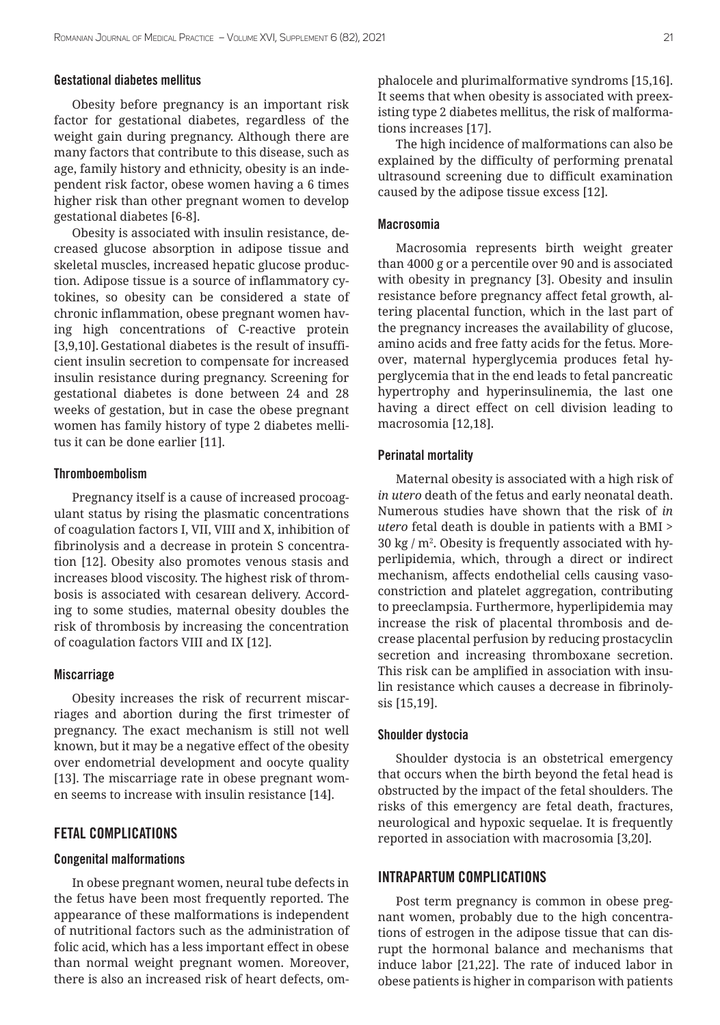#### Gestational diabetes mellitus

Obesity before pregnancy is an important risk factor for gestational diabetes, regardless of the weight gain during pregnancy. Although there are many factors that contribute to this disease, such as age, family history and ethnicity, obesity is an independent risk factor, obese women having a 6 times higher risk than other pregnant women to develop gestational diabetes [6-8].

Obesity is associated with insulin resistance, decreased glucose absorption in adipose tissue and skeletal muscles, increased hepatic glucose production. Adipose tissue is a source of inflammatory cytokines, so obesity can be considered a state of chronic inflammation, obese pregnant women having high concentrations of C-reactive protein [3,9,10]. Gestational diabetes is the result of insufficient insulin secretion to compensate for increased insulin resistance during pregnancy. Screening for gestational diabetes is done between 24 and 28 weeks of gestation, but in case the obese pregnant women has family history of type 2 diabetes mellitus it can be done earlier [11].

#### Thromboembolism

Pregnancy itself is a cause of increased procoagulant status by rising the plasmatic concentrations of coagulation factors I, VII, VIII and X, inhibition of fibrinolysis and a decrease in protein S concentration [12]. Obesity also promotes venous stasis and increases blood viscosity. The highest risk of thrombosis is associated with cesarean delivery. According to some studies, maternal obesity doubles the risk of thrombosis by increasing the concentration of coagulation factors VIII and IX [12].

#### **Miscarriage**

Obesity increases the risk of recurrent miscarriages and abortion during the first trimester of pregnancy. The exact mechanism is still not well known, but it may be a negative effect of the obesity over endometrial development and oocyte quality [13]. The miscarriage rate in obese pregnant women seems to increase with insulin resistance [14].

#### FETAL COMPLICATIONS

#### Congenital malformations

In obese pregnant women, neural tube defects in the fetus have been most frequently reported. The appearance of these malformations is independent of nutritional factors such as the administration of folic acid, which has a less important effect in obese than normal weight pregnant women. Moreover, there is also an increased risk of heart defects, om-

phalocele and plurimalformative syndroms [15,16]. It seems that when obesity is associated with preexisting type 2 diabetes mellitus, the risk of malformations increases [17].

The high incidence of malformations can also be explained by the difficulty of performing prenatal ultrasound screening due to difficult examination caused by the adipose tissue excess [12].

#### Macrosomia

Macrosomia represents birth weight greater than 4000 g or a percentile over 90 and is associated with obesity in pregnancy [3]. Obesity and insulin resistance before pregnancy affect fetal growth, altering placental function, which in the last part of the pregnancy increases the availability of glucose, amino acids and free fatty acids for the fetus. Moreover, maternal hyperglycemia produces fetal hyperglycemia that in the end leads to fetal pancreatic hypertrophy and hyperinsulinemia, the last one having a direct effect on cell division leading to macrosomia [12,18].

#### Perinatal mortality

Maternal obesity is associated with a high risk of *in utero* death of the fetus and early neonatal death. Numerous studies have shown that the risk of *in utero* fetal death is double in patients with a BMI > 30 kg /  $m^2$ . Obesity is frequently associated with hyperlipidemia, which, through a direct or indirect mechanism, affects endothelial cells causing vasoconstriction and platelet aggregation, contributing to preeclampsia. Furthermore, hyperlipidemia may increase the risk of placental thrombosis and decrease placental perfusion by reducing prostacyclin secretion and increasing thromboxane secretion. This risk can be amplified in association with insulin resistance which causes a decrease in fibrinolysis [15,19].

#### Shoulder dystocia

Shoulder dystocia is an obstetrical emergency that occurs when the birth beyond the fetal head is obstructed by the impact of the fetal shoulders. The risks of this emergency are fetal death, fractures, neurological and hypoxic sequelae. It is frequently reported in association with macrosomia [3,20].

#### INTRAPARTUM COMPLICATIONS

Post term pregnancy is common in obese pregnant women, probably due to the high concentrations of estrogen in the adipose tissue that can disrupt the hormonal balance and mechanisms that induce labor [21,22]. The rate of induced labor in obese patients is higher in comparison with patients